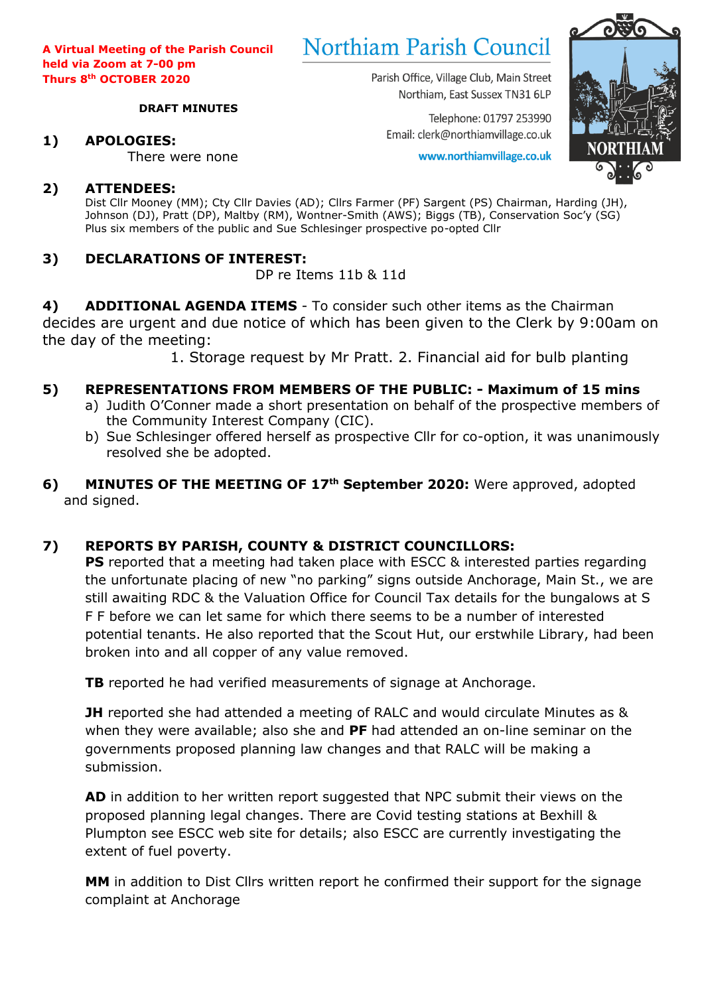# **Northiam Parish Council**

Parish Office, Village Club, Main Street Northiam, East Sussex TN31 6LP

Telephone: 01797 253990 Email: clerk@northiamvillage.co.uk

www.northiamvillage.co.uk



# There were none

**1) APOLOGIES:**

**2) ATTENDEES:** Dist Cllr Mooney (MM); Cty Cllr Davies (AD); Cllrs Farmer (PF) Sargent (PS) Chairman, Harding (JH), Johnson (DJ), Pratt (DP), Maltby (RM), Wontner-Smith (AWS); Biggs (TB), Conservation Soc'y (SG) Plus six members of the public and Sue Schlesinger prospective po-opted Cllr

# **3) DECLARATIONS OF INTEREST:**

DP re Items 11b & 11d

**4) ADDITIONAL AGENDA ITEMS** - To consider such other items as the Chairman decides are urgent and due notice of which has been given to the Clerk by 9:00am on the day of the meeting:

1. Storage request by Mr Pratt. 2. Financial aid for bulb planting

# **5) REPRESENTATIONS FROM MEMBERS OF THE PUBLIC: - Maximum of 15 mins**

- a) Judith O'Conner made a short presentation on behalf of the prospective members of the Community Interest Company (CIC).
- b) Sue Schlesinger offered herself as prospective Cllr for co-option, it was unanimously resolved she be adopted.
- **6) MINUTES OF THE MEETING OF 17th September 2020:** Were approved, adopted and signed.

# **7) REPORTS BY PARISH, COUNTY & DISTRICT COUNCILLORS:**

**PS** reported that a meeting had taken place with ESCC & interested parties regarding the unfortunate placing of new "no parking" signs outside Anchorage, Main St., we are still awaiting RDC & the Valuation Office for Council Tax details for the bungalows at S F F before we can let same for which there seems to be a number of interested potential tenants. He also reported that the Scout Hut, our erstwhile Library, had been broken into and all copper of any value removed.

**TB** reported he had verified measurements of signage at Anchorage.

**JH** reported she had attended a meeting of RALC and would circulate Minutes as & when they were available; also she and **PF** had attended an on-line seminar on the governments proposed planning law changes and that RALC will be making a submission.

**AD** in addition to her written report suggested that NPC submit their views on the proposed planning legal changes. There are Covid testing stations at Bexhill & Plumpton see ESCC web site for details; also ESCC are currently investigating the extent of fuel poverty.

**MM** in addition to Dist Cllrs written report he confirmed their support for the signage complaint at Anchorage

#### **DRAFT MINUTES**